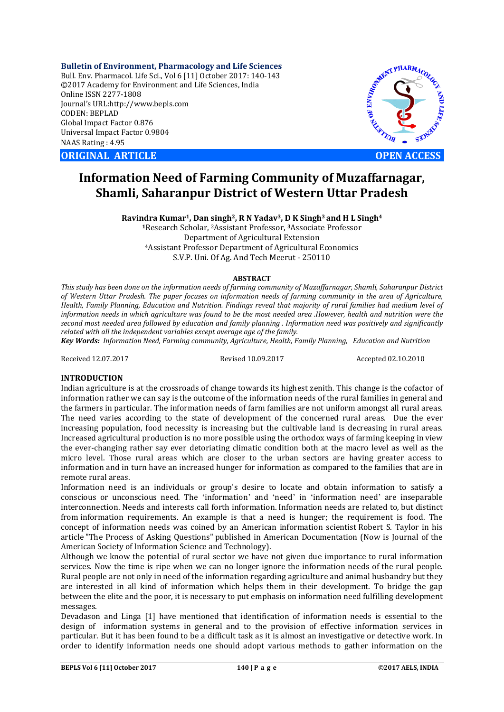**Bulletin of Environment, Pharmacology and Life Sciences** Bull. Env. Pharmacol. Life Sci., Vol 6 [11] October 2017: 140-143 ©2017 Academy for Environment and Life Sciences, India Online ISSN 2277-1808 Journal's URL:http://www.bepls.com CODEN: BEPLAD Global Impact Factor 0.876 Universal Impact Factor 0.9804 NAAS Rating : 4.95

**ORIGINAL ARTICLE OPEN ACCESS** 



# **Information Need of Farming Community of Muzaffarnagar, Shamli, Saharanpur District of Western Uttar Pradesh**

**Ravindra Kumar1, Dan singh2, R N Yadav3, D K Singh3 and H L Singh4**

**<sup>1</sup>**Research Scholar, 2Assistant Professor, **3**Associate Professor Department of Agricultural Extension 4Assistant Professor Department of Agricultural Economics S.V.P. Uni. Of Ag. And Tech Meerut - 250110

#### **ABSTRACT**

*This study has been done on the information needs of farming community of Muzaffarnagar, Shamli, Saharanpur District of Western Uttar Pradesh. The paper focuses on information needs of farming community in the area of Agriculture, Health, Family Planning, Education and Nutrition. Findings reveal that majority of rural families had medium level of information needs in which agriculture was found to be the most needed area .However, health and nutrition were the second most needed area followed by education and family planning . Information need was positively and significantly related with all the independent variables except average age of the family.*

*Key Words: Information Need, Farming community, Agriculture, Health, Family Planning, Education and Nutrition*

Received 12.07.2017 Revised 10.09.2017 Accepted 02.10.2010

## **INTRODUCTION**

Indian agriculture is at the crossroads of change towards its highest zenith. This change is the cofactor of information rather we can say is the outcome of the information needs of the rural families in general and the farmers in particular. The information needs of farm families are not uniform amongst all rural areas. The need varies according to the state of development of the concerned rural areas. Due the ever increasing population, food necessity is increasing but the cultivable land is decreasing in rural areas. Increased agricultural production is no more possible using the orthodox ways of farming keeping in view the ever-changing rather say ever detoriating climatic condition both at the macro level as well as the micro level. Those rural areas which are closer to the urban sectors are having greater access to information and in turn have an increased hunger for information as compared to the families that are in remote rural areas.

Information need is an individuals or group's desire to locate and obtain information to satisfy a conscious or unconscious need. The 'information' and 'need' in 'information need' are inseparable interconnection. Needs and interests call forth information. Information needs are related to, but distinct from information requirements. An example is that a need is hunger; the requirement is food. The concept of information needs was coined by an American information scientist Robert S. Taylor in his article "The Process of Asking Questions" published in American Documentation (Now is Journal of the American Society of Information Science and Technology).

Although we know the potential of rural sector we have not given due importance to rural information services. Now the time is ripe when we can no longer ignore the information needs of the rural people. Rural people are not only in need of the information regarding agriculture and animal husbandry but they are interested in all kind of information which helps them in their development. To bridge the gap between the elite and the poor, it is necessary to put emphasis on information need fulfilling development messages.

Devadason and Linga [1] have mentioned that identification of information needs is essential to the design of information systems in general and to the provision of effective information services in particular. But it has been found to be a difficult task as it is almost an investigative or detective work. In order to identify information needs one should adopt various methods to gather information on the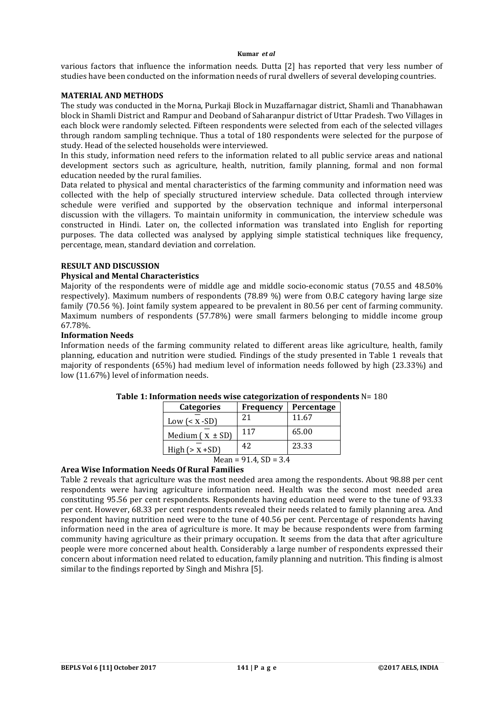#### **Kumar** *et al*

various factors that influence the information needs. Dutta [2] has reported that very less number of studies have been conducted on the information needs of rural dwellers of several developing countries.

## **MATERIAL AND METHODS**

The study was conducted in the Morna, Purkaji Block in Muzaffarnagar district, Shamli and Thanabhawan block in Shamli District and Rampur and Deoband of Saharanpur district of Uttar Pradesh. Two Villages in each block were randomly selected. Fifteen respondents were selected from each of the selected villages through random sampling technique. Thus a total of 180 respondents were selected for the purpose of study. Head of the selected households were interviewed.

In this study, information need refers to the information related to all public service areas and national development sectors such as agriculture, health, nutrition, family planning, formal and non formal education needed by the rural families.

Data related to physical and mental characteristics of the farming community and information need was collected with the help of specially structured interview schedule. Data collected through interview schedule were verified and supported by the observation technique and informal interpersonal discussion with the villagers. To maintain uniformity in communication, the interview schedule was constructed in Hindi. Later on, the collected information was translated into English for reporting purposes. The data collected was analysed by applying simple statistical techniques like frequency, percentage, mean, standard deviation and correlation.

#### **RESULT AND DISCUSSION**

#### **Physical and Mental Characteristics**

Majority of the respondents were of middle age and middle socio-economic status (70.55 and 48.50% respectively). Maximum numbers of respondents (78.89 %) were from O.B.C category having large size family (70.56 %). Joint family system appeared to be prevalent in 80.56 per cent of farming community. Maximum numbers of respondents (57.78%) were small farmers belonging to middle income group 67.78%.

#### **Information Needs**

Information needs of the farming community related to different areas like agriculture, health, family planning, education and nutrition were studied. Findings of the study presented in Table 1 reveals that majority of respondents (65%) had medium level of information needs followed by high (23.33%) and low (11.67%) level of information needs.

| <b>Categories</b>   | Frequency | Percentage |
|---------------------|-----------|------------|
| Low $(x -SD)$       | 21        | 11.67      |
| Medium $(x \pm SD)$ | 117       | 65.00      |
| High $(>x + SD)$    | 42        | 23.33      |

# **Table 1: Information needs wise categorization of respondents** N= 180

# $Mean = 91.4, SD = 3.4$

## **Area Wise Information Needs Of Rural Families**

Table 2 reveals that agriculture was the most needed area among the respondents. About 98.88 per cent respondents were having agriculture information need. Health was the second most needed area constituting 95.56 per cent respondents. Respondents having education need were to the tune of 93.33 per cent. However, 68.33 per cent respondents revealed their needs related to family planning area. And respondent having nutrition need were to the tune of 40.56 per cent. Percentage of respondents having information need in the area of agriculture is more. It may be because respondents were from farming community having agriculture as their primary occupation. It seems from the data that after agriculture people were more concerned about health. Considerably a large number of respondents expressed their concern about information need related to education, family planning and nutrition. This finding is almost similar to the findings reported by Singh and Mishra [5].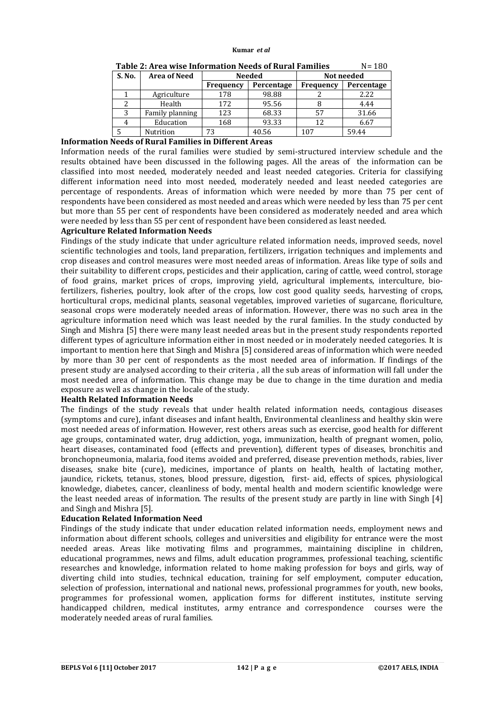#### **Kumar** *et al*

| Tudic Effil cu Migc Inivi Multivii Nccug of Iwi ul Tuminicg<br>- 100 |                     |           |            |                  |            |  |
|----------------------------------------------------------------------|---------------------|-----------|------------|------------------|------------|--|
| S. No.                                                               | <b>Area of Need</b> | Needed    |            | Not needed       |            |  |
|                                                                      |                     | Frequency | Percentage | <b>Frequency</b> | Percentage |  |
|                                                                      | Agriculture         | 178       | 98.88      |                  | 2.22       |  |
|                                                                      | Health              | 172       | 95.56      |                  | 4.44       |  |
| 3                                                                    | Family planning     | 123       | 68.33      | 57               | 31.66      |  |
|                                                                      | Education           | 168       | 93.33      | 12               | 6.67       |  |
|                                                                      | Nutrition           | 73        | 40.56      | 107              | 59.44      |  |

**Table 2: Area wise Information Needs of Rural Families** N= 180

### **Information Needs of Rural Families in Different Areas**

Information needs of the rural families were studied by semi-structured interview schedule and the results obtained have been discussed in the following pages. All the areas of the information can be classified into most needed, moderately needed and least needed categories. Criteria for classifying different information need into most needed, moderately needed and least needed categories are percentage of respondents. Areas of information which were needed by more than 75 per cent of respondents have been considered as most needed and areas which were needed by less than 75 per cent but more than 55 per cent of respondents have been considered as moderately needed and area which were needed by less than 55 per cent of respondent have been considered as least needed.

#### **Agriculture Related Information Needs**

Findings of the study indicate that under agriculture related information needs, improved seeds, novel scientific technologies and tools, land preparation, fertilizers, irrigation techniques and implements and crop diseases and control measures were most needed areas of information. Areas like type of soils and their suitability to different crops, pesticides and their application, caring of cattle, weed control, storage of food grains, market prices of crops, improving yield, agricultural implements, interculture, biofertilizers, fisheries, poultry, look after of the crops, low cost good quality seeds, harvesting of crops, horticultural crops, medicinal plants, seasonal vegetables, improved varieties of sugarcane, floriculture, seasonal crops were moderately needed areas of information. However, there was no such area in the agriculture information need which was least needed by the rural families. In the study conducted by Singh and Mishra [5] there were many least needed areas but in the present study respondents reported different types of agriculture information either in most needed or in moderately needed categories. It is important to mention here that Singh and Mishra [5] considered areas of information which were needed by more than 30 per cent of respondents as the most needed area of information. If findings of the present study are analysed according to their criteria , all the sub areas of information will fall under the most needed area of information. This change may be due to change in the time duration and media exposure as well as change in the locale of the study.

#### **Health Related Information Needs**

The findings of the study reveals that under health related information needs, contagious diseases (symptoms and cure), infant diseases and infant health, Environmental cleanliness and healthy skin were most needed areas of information. However, rest others areas such as exercise, good health for different age groups, contaminated water, drug addiction, yoga, immunization, health of pregnant women, polio, heart diseases, contaminated food (effects and prevention), different types of diseases, bronchitis and bronchopneumonia, malaria, food items avoided and preferred, disease prevention methods, rabies, liver diseases, snake bite (cure), medicines, importance of plants on health, health of lactating mother, jaundice, rickets, tetanus, stones, blood pressure, digestion, first- aid, effects of spices, physiological knowledge, diabetes, cancer, cleanliness of body, mental health and modern scientific knowledge were the least needed areas of information. The results of the present study are partly in line with Singh [4] and Singh and Mishra [5].

## **Education Related Information Need**

Findings of the study indicate that under education related information needs, employment news and information about different schools, colleges and universities and eligibility for entrance were the most needed areas. Areas like motivating films and programmes, maintaining discipline in children, educational programmes, news and films, adult education programmes, professional teaching, scientific researches and knowledge, information related to home making profession for boys and girls, way of diverting child into studies, technical education, training for self employment, computer education, selection of profession, international and national news, professional programmes for youth, new books, programmes for professional women, application forms for different institutes, institute serving handicapped children, medical institutes, army entrance and correspondence courses were the moderately needed areas of rural families.